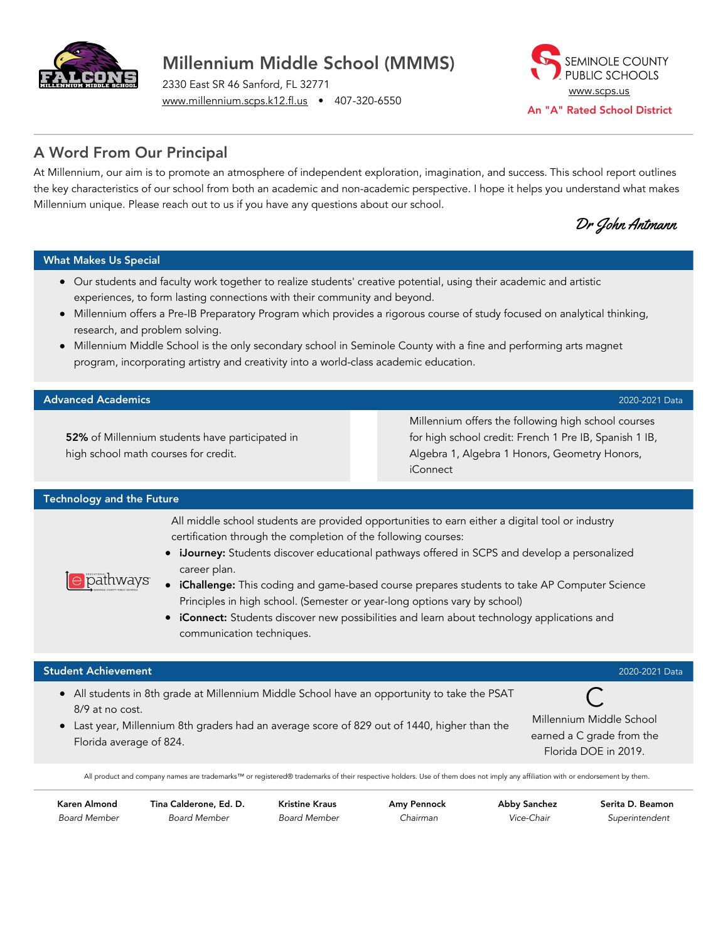

# Millennium Middle School (MMMS)

2330 East SR 46 Sanford, FL 32771 [www.millennium.scps.k12.fl.us](http://www.millennium.scps.k12.fl.us/) • 407-320-6550



## A Word From Our Principal

At Millennium, our aim is to promote an atmosphere of independent exploration, imagination, and success. This school report outlines the key characteristics of our school from both an academic and non-academic perspective. I hope it helps you understand what makes Millennium unique. Please reach out to us if you have any questions about our school.

Dr John Antmann

#### What Makes Us Special

- Our students and faculty work together to realize students' creative potential, using their academic and artistic experiences, to form lasting connections with their community and beyond.
- Millennium offers a Pre-IB Preparatory Program which provides a rigorous course of study focused on analytical thinking, research, and problem solving.
- Millennium Middle School is the only secondary school in Seminole County with a fine and performing arts magnet program, incorporating artistry and creativity into a world-class academic education.

#### Advanced Academics 2020-2021 Data

52% of Millennium students have participated in high school math courses for credit.

Millennium offers the following high school courses for high school credit: French 1 Pre IB, Spanish 1 IB, Algebra 1, Algebra 1 Honors, Geometry Honors, iConnect

#### Technology and the Future

 $\Theta$ pathways

All middle school students are provided opportunities to earn either a digital tool or industry certification through the completion of the following courses:

- iJourney: Students discover educational pathways offered in SCPS and develop a personalized career plan.
- iChallenge: This coding and game-based course prepares students to take AP Computer Science Principles in high school. (Semester or year-long options vary by school)
- iConnect: Students discover new possibilities and learn about technology applications and communication techniques.

#### Student Achievement 2020-2021 Data

- All students in 8th grade at Millennium Middle School have an opportunity to take the PSAT 8/9 at no cost.
- Last year, Millennium 8th graders had an average score of 829 out of 1440, higher than the Florida average of 824.

 $\mathsf{C}$ Millennium Middle School earned a C grade from the Florida DOE in 2019.

All product and company names are trademarks™ or registered® trademarks of their respective holders. Use of them does not imply any affiliation with or endorsement by them.

Karen Almond Board Member Tina Calderone, Ed. D. Board Member

Kristine Kraus Board Member Amy Pennock Chairman

Abby Sanchez Vice-Chair

Serita D. Beamon Superintendent